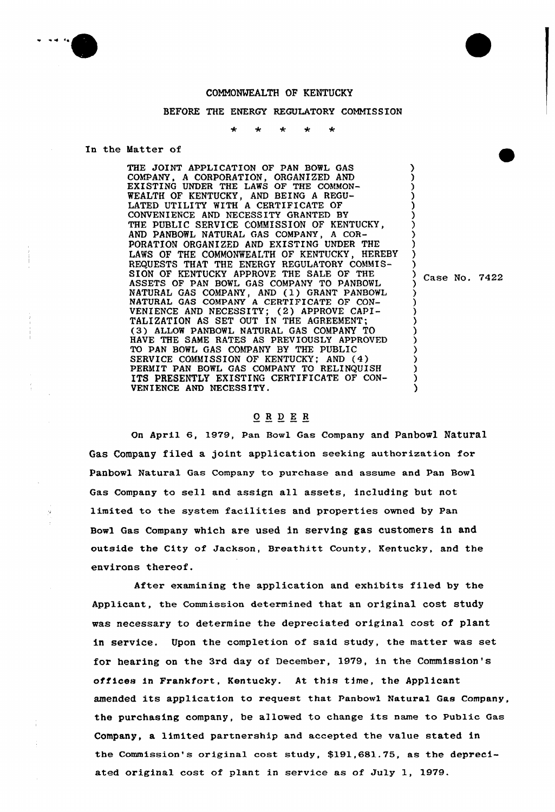

## COMMONWEALTH OF KENTUCKY

## BEFORE THE ENERGY REGULATORY COMMISSION

## In the Matter of

THE JOINT APPLICATION OF PAN BOWL GAS COMPANY, A CORPORATION, ORGANIZED AND EXISTING UNDER THE LAWS OF THE COMMON-WEALTH OF KENTUCKY, AND BEING A REGU-LATED UTILITY WITH A CERTIFICATE OF CONVENIENCE AND NECESSITY GRANTED BY THE PUBLIC SERVICE COMMISSION OF KENTUCKY, AND PANBOWL NATURAL GAS COMPANY, <sup>A</sup> COR-PORATION ORGANIZED AND EXISTING UNDER THE LAWS OF THE COMMONWEALTH OF KENTUCKY, HEREBY REQUESTS THAT THE ENERGY REGULATORY COMMIS-SION OF KENTUCKY APPROVE THE SALE OF THE ASSETS OF PAN BOWL GAS COMPANY TO PANBOWL NATURAL GAS COMPANY, AND (1) GRANT PANBOWL NATURAL GAS COMPANY <sup>A</sup> CERTIFICATE OF CON-VENIENCE AND NECESSITY; (2) APPROVE CAPI-TALIZATION AS SET OUT IN THE AGREEMENT; (3) ALLOW PANBOWL NATURAL GAS COMPANY TO HAVE THE SAME RATES AS PREVIOUSLY APPROVED TO PAN BOWL GAS COMPANY BY THE PUBLIC SERVICE COMMISSION OF KENTUCKY; AND (4) PERMIT PAN BOWL GAS COMPANY TO RELINQUISH ITS PRESENTLY EXISTING CERTIFICATE OF CON-VENIENCE AND NECESSITY. ) ) ) ) )

) Case No. 7422

) ) ) ) ) )

> ) ) ) ) ) ) ) ) ) )

## ORDER

On April 6, 1979, Pan Bowl Gas Company and Panbowl Natural Gas Company filed a joint application seeking authorization for Panbowl Natuxal Gas Company to purchase and assume and Pan Bowl Gas Company to sell and assign all assets, including but not limited to the system facilities and properties owned by Pan Bowl Gas Company which are used in serving gas customers in and outside the City of Jackson, Breathitt County, Kentucky, and the environs thereof.

After examining the application and exhibits filed by the Applicant, the Commission determined that an original cost study was necessary to determine the depreciated original cost of plant in service. Upon the completion of said study, the matter was set for hearing on the 3rd day of December, 1979, in the Commission's offices in Frankfort, Kentucky. At this time, the Applicant amended its application to request that Panbowl Natural Gas Company, the purchasing company, be allowed to change its name to Public Gas Company, a limited partnership and accepted the value stated in the Commission's original cost study, \$191,681.75, as the depreciated original cost of plant in service as of Ju1y 1, 1979.